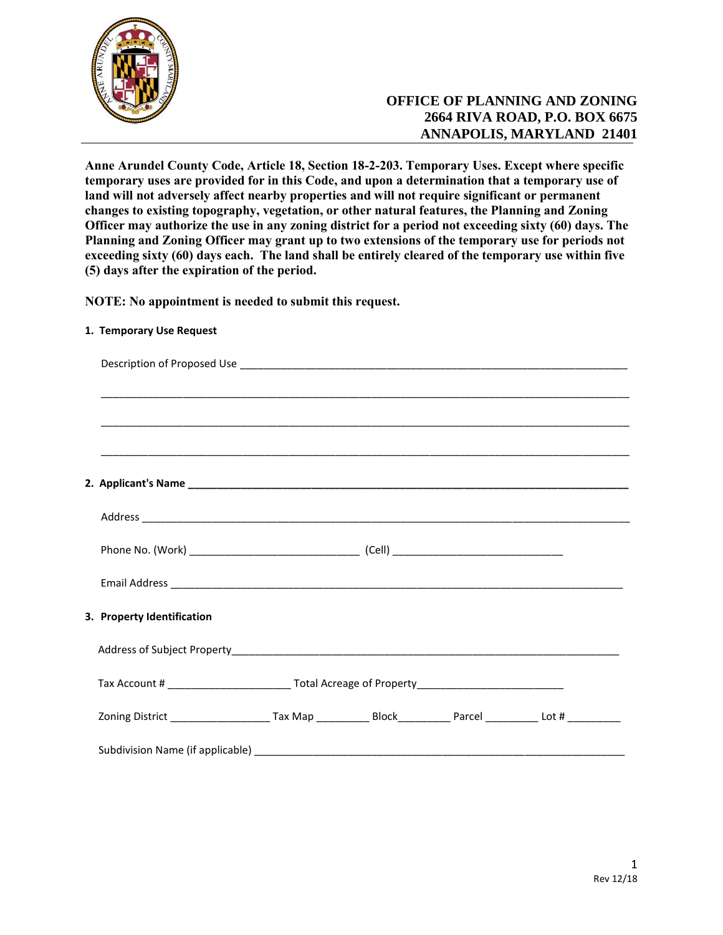

# **OFFICE OF PLANNING AND ZONING 2664 RIVA ROAD, P.O. BOX 6675 ANNAPOLIS, MARYLAND 21401**

**Anne Arundel County Code, Article 18, Section 18-2-203. Temporary Uses. Except where specific temporary uses are provided for in this Code, and upon a determination that a temporary use of land will not adversely affect nearby properties and will not require significant or permanent changes to existing topography, vegetation, or other natural features, the Planning and Zoning Officer may authorize the use in any zoning district for a period not exceeding sixty (60) days. The Planning and Zoning Officer may grant up to two extensions of the temporary use for periods not exceeding sixty (60) days each. The land shall be entirely cleared of the temporary use within five (5) days after the expiration of the period.**

**NOTE: No appointment is needed to submit this request.**

| 3. Property Identification                                                                                               |  |  |  |  |
|--------------------------------------------------------------------------------------------------------------------------|--|--|--|--|
|                                                                                                                          |  |  |  |  |
|                                                                                                                          |  |  |  |  |
| Zoning District __________________________Tax Map _______________Block___________Parcel ______________Lot # ____________ |  |  |  |  |
|                                                                                                                          |  |  |  |  |

## **1. Temporary Use Request**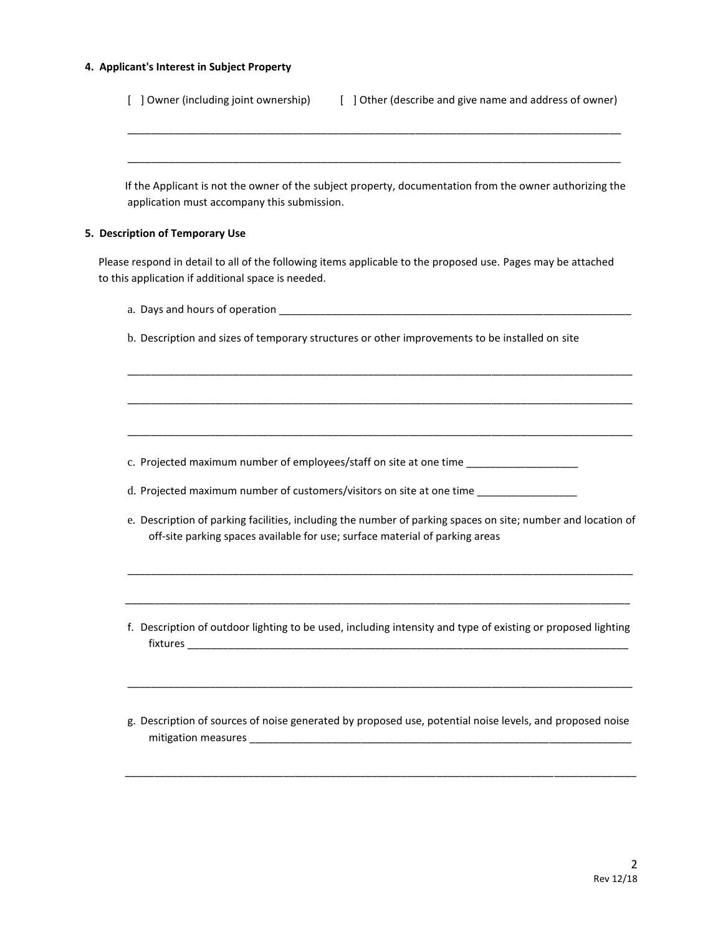## **4. Applicant's Interest in Subject Property**

| ] Owner (including joint ownership)<br>[ ] Other (describe and give name and address of owner)                                                                                               |  |  |  |  |
|----------------------------------------------------------------------------------------------------------------------------------------------------------------------------------------------|--|--|--|--|
| If the Applicant is not the owner of the subject property, documentation from the owner authorizing the<br>application must accompany this submission.                                       |  |  |  |  |
| 5. Description of Temporary Use                                                                                                                                                              |  |  |  |  |
| Please respond in detail to all of the following items applicable to the proposed use. Pages may be attached<br>to this application if additional space is needed.                           |  |  |  |  |
|                                                                                                                                                                                              |  |  |  |  |
| b. Description and sizes of temporary structures or other improvements to be installed on site                                                                                               |  |  |  |  |
|                                                                                                                                                                                              |  |  |  |  |
|                                                                                                                                                                                              |  |  |  |  |
| c. Projected maximum number of employees/staff on site at one time _____________                                                                                                             |  |  |  |  |
| d. Projected maximum number of customers/visitors on site at one time _______________                                                                                                        |  |  |  |  |
| e. Description of parking facilities, including the number of parking spaces on site; number and location of<br>off-site parking spaces available for use; surface material of parking areas |  |  |  |  |
|                                                                                                                                                                                              |  |  |  |  |
| f. Description of outdoor lighting to be used, including intensity and type of existing or proposed lighting                                                                                 |  |  |  |  |
| g. Description of sources of noise generated by proposed use, potential noise levels, and proposed noise                                                                                     |  |  |  |  |
|                                                                                                                                                                                              |  |  |  |  |